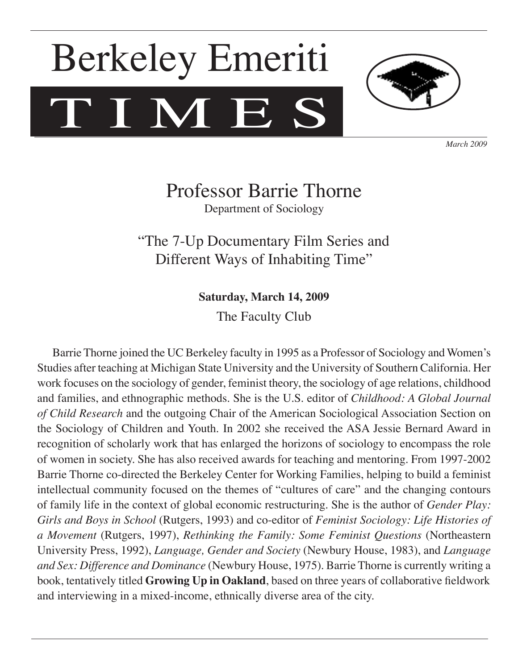# TIMES Berkeley Emeriti



*March 2009*

## Professor Barrie Thorne Department of Sociology

"The 7-Up Documentary Film Series and Different Ways of Inhabiting Time"

**Saturday, March 14, 2009**

The Faculty Club

Barrie Thorne joined the UC Berkeley faculty in 1995 as a Professor of Sociology and Women's Studies after teaching at Michigan State University and the University of Southern California. Her work focuses on the sociology of gender, feminist theory, the sociology of age relations, childhood and families, and ethnographic methods. She is the U.S. editor of *Childhood: A Global Journal of Child Research* and the outgoing Chair of the American Sociological Association Section on the Sociology of Children and Youth. In 2002 she received the ASA Jessie Bernard Award in recognition of scholarly work that has enlarged the horizons of sociology to encompass the role of women in society. She has also received awards for teaching and mentoring. From 1997-2002 Barrie Thorne co-directed the Berkeley Center for Working Families, helping to build a feminist intellectual community focused on the themes of "cultures of care" and the changing contours of family life in the context of global economic restructuring. She is the author of *Gender Play: Girls and Boys in School* (Rutgers, 1993) and co-editor of *Feminist Sociology: Life Histories of a Movement* (Rutgers, 1997), *Rethinking the Family: Some Feminist Questions* (Northeastern University Press, 1992), *Language, Gender and Society* (Newbury House, 1983), and *Language and Sex: Difference and Dominance* (Newbury House, 1975). Barrie Thorne is currently writing a book, tentatively titled **Growing Up in Oakland**, based on three years of collaborative fieldwork and interviewing in a mixed-income, ethnically diverse area of the city.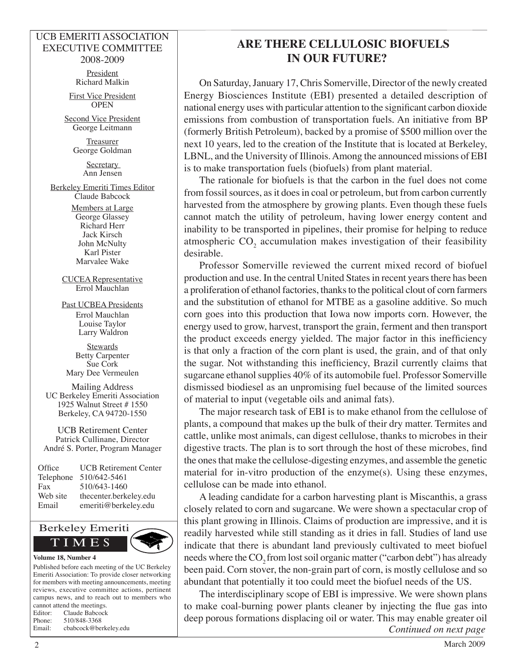#### UCB EMERITI ASSOCIATION EXECUTIVE COMMITTEE 2008-2009

President Richard Malkin

First Vice President **OPEN** 

Second Vice President George Leitmann

> **Treasurer** George Goldman

> > **Secretary** Ann Jensen

Berkeley Emeriti Times Editor Claude Babcock

> Members at Large George Glassey Richard Herr Jack Kirsch John McNulty Karl Pister Marvalee Wake

CUCEA Representative Errol Mauchlan

Past UCBEA Presidents Errol Mauchlan Louise Taylor Larry Waldron

**Stewards** Betty Carpenter Sue Cork Mary Dee Vermeulen

Mailing Address UC Berkeley Emeriti Association 1925 Walnut Street # 1550 Berkeley, CA 94720-1550

UCB Retirement Center Patrick Cullinane, Director André S. Porter, Program Manager

| Office    | <b>UCB</b> Retirement Center |
|-----------|------------------------------|
| Telephone | 510/642-5461                 |
| Fax       | 510/643-1460                 |
| Web site  | thecenter.berkeley.edu       |
| Email     | emeriti@berkeley.edu         |



#### Published before each meeting of the UC Berkeley Emeriti Association: To provide closer networking for members with meeting announcements, meeting reviews, executive committee actions, pertinent campus news, and to reach out to members who cannot attend the meetings. Editor: Claude Babcock Phone: 510/848-3368

Email: cbabcock@berkeley.edu

### **ARE THERE CELLULOSIC BIOFUELS IN OUR FUTURE?**

On Saturday, January 17, Chris Somerville, Director of the newly created Energy Biosciences Institute (EBI) presented a detailed description of national energy uses with particular attention to the significant carbon dioxide emissions from combustion of transportation fuels. An initiative from BP (formerly British Petroleum), backed by a promise of \$500 million over the next 10 years, led to the creation of the Institute that is located at Berkeley, LBNL, and the University of Illinois. Among the announced missions of EBI is to make transportation fuels (biofuels) from plant material.

The rationale for biofuels is that the carbon in the fuel does not come from fossil sources, as it does in coal or petroleum, but from carbon currently harvested from the atmosphere by growing plants. Even though these fuels cannot match the utility of petroleum, having lower energy content and inability to be transported in pipelines, their promise for helping to reduce atmospheric  $CO_2$  accumulation makes investigation of their feasibility desirable.

Professor Somerville reviewed the current mixed record of biofuel production and use. In the central United States in recent years there has been a proliferation of ethanol factories, thanks to the political clout of corn farmers and the substitution of ethanol for MTBE as a gasoline additive. So much corn goes into this production that Iowa now imports corn. However, the energy used to grow, harvest, transport the grain, ferment and then transport the product exceeds energy yielded. The major factor in this inefficiency is that only a fraction of the corn plant is used, the grain, and of that only the sugar. Not withstanding this inefficiency, Brazil currently claims that sugarcane ethanol supplies 40% of its automobile fuel. Professor Somerville dismissed biodiesel as an unpromising fuel because of the limited sources of material to input (vegetable oils and animal fats).

The major research task of EBI is to make ethanol from the cellulose of plants, a compound that makes up the bulk of their dry matter. Termites and cattle, unlike most animals, can digest cellulose, thanks to microbes in their digestive tracts. The plan is to sort through the host of these microbes, find the ones that make the cellulose-digesting enzymes, and assemble the genetic material for in-vitro production of the enzyme(s). Using these enzymes, cellulose can be made into ethanol.

A leading candidate for a carbon harvesting plant is Miscanthis, a grass closely related to corn and sugarcane. We were shown a spectacular crop of this plant growing in Illinois. Claims of production are impressive, and it is readily harvested while still standing as it dries in fall. Studies of land use indicate that there is abundant land previously cultivated to meet biofuel needs where the CO<sub>2</sub> from lost soil organic matter ("carbon debt") has already been paid. Corn stover, the non-grain part of corn, is mostly cellulose and so abundant that potentially it too could meet the biofuel needs of the US.

The interdisciplinary scope of EBI is impressive. We were shown plans to make coal-burning power plants cleaner by injecting the flue gas into deep porous formations displacing oil or water. This may enable greater oil *Continued on next page*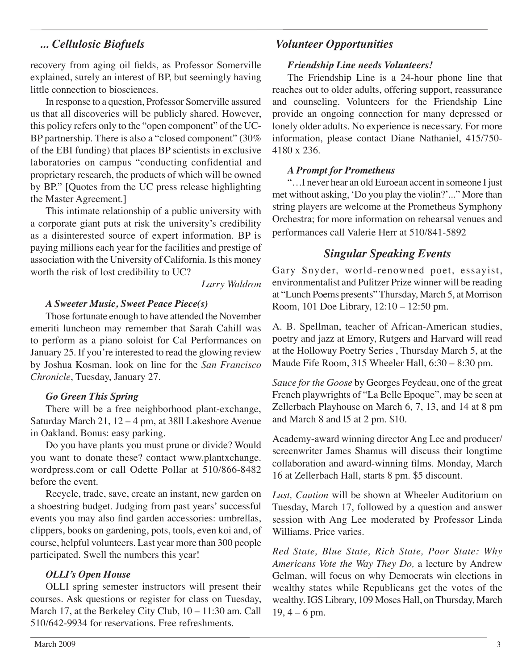#### *... Cellulosic Biofuels*

#### recovery from aging oil fields, as Professor Somerville explained, surely an interest of BP, but seemingly having little connection to biosciences.

In response to a question, Professor Somerville assured us that all discoveries will be publicly shared. However, this policy refers only to the "open component" of the UC-BP partnership. There is also a "closed component" (30% of the EBI funding) that places BP scientists in exclusive laboratories on campus "conducting confidential and proprietary research, the products of which will be owned by BP." [Quotes from the UC press release highlighting the Master Agreement.]

This intimate relationship of a public university with a corporate giant puts at risk the university's credibility as a disinterested source of expert information. BP is paying millions each year for the facilities and prestige of association with the University of California. Is this money worth the risk of lost credibility to UC?

*Larry Waldron*

#### *A Sweeter Music, Sweet Peace Piece(s)*

Those fortunate enough to have attended the November emeriti luncheon may remember that Sarah Cahill was to perform as a piano soloist for Cal Performances on January 25. If you're interested to read the glowing review by Joshua Kosman, look on line for the *San Francisco Chronicle*, Tuesday, January 27.

#### *Go Green This Spring*

There will be a free neighborhood plant-exchange, Saturday March 21, 12 – 4 pm, at 38ll Lakeshore Avenue in Oakland. Bonus: easy parking.

Do you have plants you must prune or divide? Would you want to donate these? contact www.plantxchange. wordpress.com or call Odette Pollar at 510/866-8482 before the event.

Recycle, trade, save, create an instant, new garden on a shoestring budget. Judging from past years' successful events you may also find garden accessories: umbrellas, clippers, books on gardening, pots, tools, even koi and, of course, helpful volunteers. Last year more than 300 people participated. Swell the numbers this year!

#### *OLLI's Open House*

OLLI spring semester instructors will present their courses. Ask questions or register for class on Tuesday, March 17, at the Berkeley City Club, 10 – 11:30 am. Call 510/642-9934 for reservations. Free refreshments.

#### *Volunteer Opportunities*

#### *Friendship Line needs Volunteers!*

The Friendship Line is a 24-hour phone line that reaches out to older adults, offering support, reassurance and counseling. Volunteers for the Friendship Line provide an ongoing connection for many depressed or lonely older adults. No experience is necessary. For more information, please contact Diane Nathaniel, 415/750- 4180 x 236.

#### *A Prompt for Prometheus*

"…I never hear an old Euroean accent in someone I just met without asking, 'Do you play the violin?'..." More than string players are welcome at the Prometheus Symphony Orchestra; for more information on rehearsal venues and performances call Valerie Herr at 510/841-5892

#### *Singular Speaking Events*

Gary Snyder, world-renowned poet, essayist, environmentalist and Pulitzer Prize winner will be reading at "Lunch Poems presents" Thursday, March 5, at Morrison Room, 101 Doe Library, 12:10 – 12:50 pm.

A. B. Spellman, teacher of African-American studies, poetry and jazz at Emory, Rutgers and Harvard will read at the Holloway Poetry Series , Thursday March 5, at the Maude Fife Room, 315 Wheeler Hall, 6:30 – 8:30 pm.

*Sauce for the Goose* by Georges Feydeau, one of the great French playwrights of "La Belle Epoque", may be seen at Zellerbach Playhouse on March 6, 7, 13, and 14 at 8 pm and March 8 and l5 at 2 pm. \$10.

Academy-award winning director Ang Lee and producer/ screenwriter James Shamus will discuss their longtime collaboration and award-winning films. Monday, March 16 at Zellerbach Hall, starts 8 pm. \$5 discount.

*Lust, Caution* will be shown at Wheeler Auditorium on Tuesday, March 17, followed by a question and answer session with Ang Lee moderated by Professor Linda Williams. Price varies.

*Red State, Blue State, Rich State, Poor State: Why Americans Vote the Way They Do,* a lecture by Andrew Gelman, will focus on why Democrats win elections in wealthy states while Republicans get the votes of the wealthy. IGS Library, 109 Moses Hall, on Thursday, March 19, 4 – 6 pm.